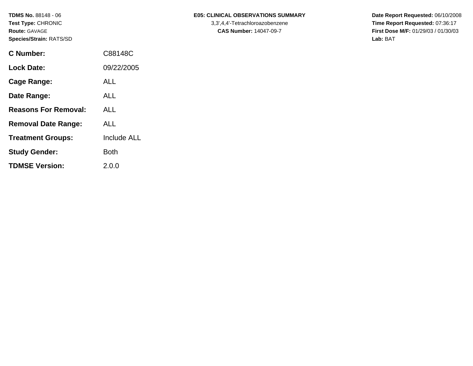| <b>C</b> Number:            | C88148C            |
|-----------------------------|--------------------|
| <b>Lock Date:</b>           | 09/22/2005         |
| <b>Cage Range:</b>          | ALL                |
| Date Range:                 | ALL                |
| <b>Reasons For Removal:</b> | ALL                |
| <b>Removal Date Range:</b>  | ALL                |
| <b>Treatment Groups:</b>    | <b>Include ALL</b> |
| <b>Study Gender:</b>        | Both               |
|                             |                    |

**TDMSE Version:** 2.0.0

# TDMS No. 88148 - 06 **E05: CLINICAL OBSERVATIONS SUMMARY** Date Report Requested: 06/10/2008

Test Type: CHRONIC **3,3',4,4'-Tetrachloroazobenzene** 3,3',4,4'-Tetrachloroazobenzene **Time Report Requested:** 07:36:17 **Route:** GAVAGE **CAS Number:** 14047-09-7 **First Dose M/F:** 01/29/03 / 01/30/03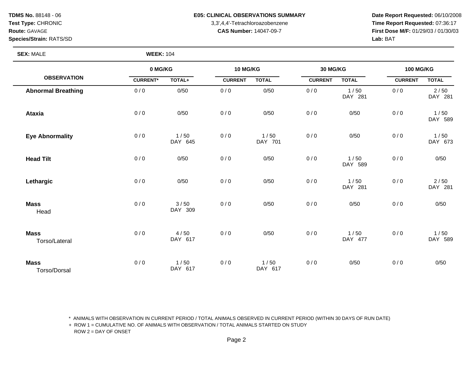**TDMS No.** 88148 - 06 **E05: CLINICAL OBSERVATIONS SUMMARY** Date Report Requested: 06/10/2008 **Test Type:** CHRONIC 3,3',4,4'-Tetrachloroazobenzene **Time Report Requested:** 07:36:17 **Route:** GAVAGE **CAS Number:** 14047-09-7 **First Dose M/F:** 01/29/03 / 01/30/03 **Species/Strain:** RATS/SD **Lab:** BAT

# **SEX:** MALE **WEEK:** 104

|                              | 0 MG/KG         |                 | <b>10 MG/KG</b> |                 | 30 MG/KG       |                 | <b>100 MG/KG</b> |                 |
|------------------------------|-----------------|-----------------|-----------------|-----------------|----------------|-----------------|------------------|-----------------|
| <b>OBSERVATION</b>           | <b>CURRENT*</b> | TOTAL+          | <b>CURRENT</b>  | <b>TOTAL</b>    | <b>CURRENT</b> | <b>TOTAL</b>    | <b>CURRENT</b>   | <b>TOTAL</b>    |
| <b>Abnormal Breathing</b>    | 0/0             | 0/50            | 0/0             | 0/50            | 0/0            | 1/50<br>DAY 281 | 0/0              | 2/50<br>DAY 281 |
| <b>Ataxia</b>                | 0/0             | 0/50            | 0/0             | 0/50            | 0/0            | 0/50            | 0/0              | 1/50<br>DAY 589 |
| <b>Eye Abnormality</b>       | 0/0             | 1/50<br>DAY 645 | 0/0             | 1/50<br>DAY 701 | 0/0            | 0/50            | 0/0              | 1/50<br>DAY 673 |
| <b>Head Tilt</b>             | 0/0             | 0/50            | 0/0             | 0/50            | 0/0            | 1/50<br>DAY 589 | 0/0              | 0/50            |
| Lethargic                    | 0/0             | 0/50            | 0/0             | 0/50            | 0/0            | 1/50<br>DAY 281 | 0/0              | 2/50<br>DAY 281 |
| <b>Mass</b><br>Head          | 0/0             | 3/50<br>DAY 309 | 0/0             | 0/50            | 0/0            | 0/50            | 0/0              | 0/50            |
| <b>Mass</b><br>Torso/Lateral | 0/0             | 4/50<br>DAY 617 | 0/0             | 0/50            | 0/0            | 1/50<br>DAY 477 | 0/0              | 1/50<br>DAY 589 |
| <b>Mass</b><br>Torso/Dorsal  | 0/0             | 1/50<br>DAY 617 | 0/0             | 1/50<br>DAY 617 | 0/0            | 0/50            | 0/0              | 0/50            |

\* ANIMALS WITH OBSERVATION IN CURRENT PERIOD / TOTAL ANIMALS OBSERVED IN CURRENT PERIOD (WITHIN 30 DAYS OF RUN DATE)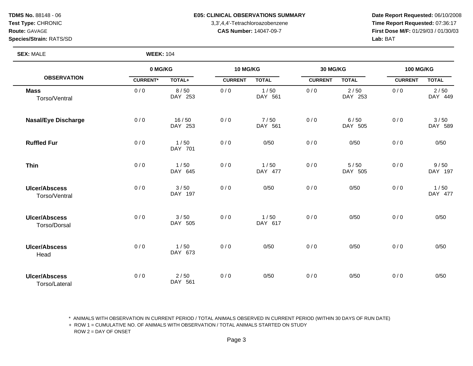**TDMS No.** 88148 - 06 **E05: CLINICAL OBSERVATIONS SUMMARY** Date Report Requested: 06/10/2008 **Test Type:** CHRONIC 3,3',4,4'-Tetrachloroazobenzene **Time Report Requested:** 07:36:17 **Route:** GAVAGE **CAS Number:** 14047-09-7 **First Dose M/F:** 01/29/03 / 01/30/03

## **SEX:** MALE **WEEK:** 104

|                                       | 0 MG/KG         |                   | 10 MG/KG       |                 | 30 MG/KG       |                 | <b>100 MG/KG</b> |                 |
|---------------------------------------|-----------------|-------------------|----------------|-----------------|----------------|-----------------|------------------|-----------------|
| <b>OBSERVATION</b>                    | <b>CURRENT*</b> | TOTAL+            | <b>CURRENT</b> | <b>TOTAL</b>    | <b>CURRENT</b> | <b>TOTAL</b>    | <b>CURRENT</b>   | <b>TOTAL</b>    |
| <b>Mass</b><br>Torso/Ventral          | 0/0             | 8/50<br>DAY 253   | 0/0            | 1/50<br>DAY 561 | 0/0            | 2/50<br>DAY 253 | 0/0              | 2/50<br>DAY 449 |
| <b>Nasal/Eye Discharge</b>            | 0/0             | 16/50<br>DAY 253  | 0/0            | 7/50<br>DAY 561 | 0/0            | 6/50<br>DAY 505 | 0/0              | 3/50<br>DAY 589 |
| <b>Ruffled Fur</b>                    | 0/0             | 1/50<br>DAY 701   | 0/0            | 0/50            | 0/0            | 0/50            | 0/0              | 0/50            |
| <b>Thin</b>                           | 0/0             | 1/50<br>DAY 645   | 0/0            | 1/50<br>DAY 477 | 0/0            | 5/50<br>DAY 505 | 0/0              | 9/50<br>DAY 197 |
| <b>Ulcer/Abscess</b><br>Torso/Ventral | 0/0             | 3/50<br>DAY 197   | 0/0            | 0/50            | 0/0            | 0/50            | 0/0              | 1/50<br>DAY 477 |
| <b>Ulcer/Abscess</b><br>Torso/Dorsal  | 0/0             | 3/50<br>DAY 505   | 0/0            | 1/50<br>DAY 617 | 0/0            | 0/50            | 0/0              | 0/50            |
| <b>Ulcer/Abscess</b><br>Head          | 0/0             | 1/50<br>DAY 673   | 0/0            | 0/50            | 0/0            | 0/50            | 0/0              | 0/50            |
| <b>Ulcer/Abscess</b><br>Torso/Lateral | 0/0             | $2/50$<br>DAY 561 | 0/0            | 0/50            | 0/0            | 0/50            | 0/0              | 0/50            |

\* ANIMALS WITH OBSERVATION IN CURRENT PERIOD / TOTAL ANIMALS OBSERVED IN CURRENT PERIOD (WITHIN 30 DAYS OF RUN DATE)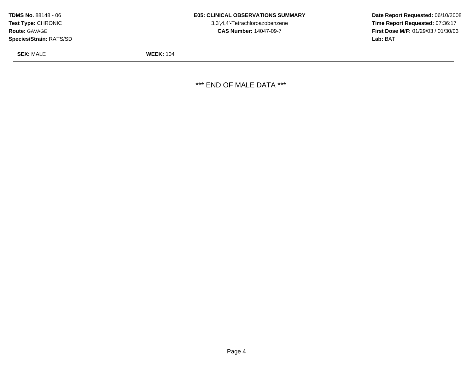| <b>Test Type: CHRONIC</b><br><b>Route: GAVAGE</b><br><b>Species/Strain: RATS/SD</b> | 3,3',4,4'-Tetrachloroazobenzene<br><b>CAS Number: 14047-09-7</b> | Time Report Requested: 07:36:17<br><b>First Dose M/F: 01/29/03 / 01/30/03</b><br>Lab: BAT |
|-------------------------------------------------------------------------------------|------------------------------------------------------------------|-------------------------------------------------------------------------------------------|
| <b>SEX: MALE</b>                                                                    | <b>WEEK: 104</b>                                                 |                                                                                           |

\*\*\* END OF MALE DATA \*\*\*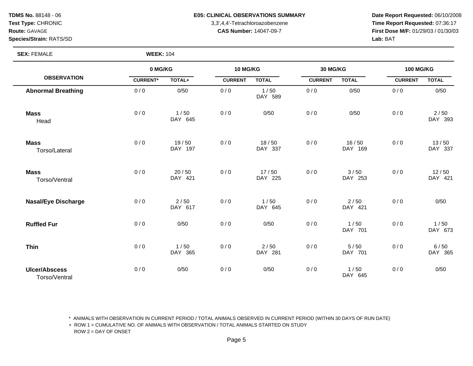**SEX:** FEMALE **WEEK:** 104

### **TDMS No.** 88148 - 06 **E05: CLINICAL OBSERVATIONS SUMMARY Date Report Requested:** 06/10/2008

**Test Type:** CHRONIC 3,3',4,4'-Tetrachloroazobenzene **Time Report Requested:** 07:36:17 **Route:** GAVAGE **CAS Number:** 14047-09-7 **First Dose M/F:** 01/29/03 / 01/30/03

**OBSERVATION 0 MG/KG CURRENT\* TOTAL+ 10 MG/KG CURRENT TOTAL 30 MG/KG CURRENT TOTAL 100 MG/KG CURRENT TOTAL Abnormal Breathing** 0/0 0/50 0/0 1/50 DAY 589 0 / 0 0/50 0 / 0 0/50 **Mass** Head  $0 / 0$  1/50 DAY 645 0 / 0 / 0 0 / 0 0 / 0 0 / 0 0 / 0 0 / 0 0 / 0  $\sqrt{50}$  0 / 0  $\sqrt{2}$  / 50  $\sqrt{50}$  0  $\sqrt{50}$  0  $\sqrt{2}$  1  $\sqrt{50}$  0  $\sqrt{2}$  1  $\sqrt{50}$  0  $\sqrt{2}$  1  $\sqrt{50}$  0  $\sqrt{50}$  0  $\sqrt{50}$  0  $\sqrt{50}$  1  $\sqrt{50}$  0  $\sqrt{50}$  1  $\sqrt{50}$ DAY 393 **Mass** Torso/Lateral  $0 / 0$  19/50 DAY 197  $0 / 0$  18/50 DAY 337  $0/0$  16/50 DAY 169  $0 / 0$  13/50 DAY 337 **Mass** Torso/Ventral  $0 / 0$  20/50 DAY 421  $0 / 0$  17/50 DAY 225  $0 / 0$   $3 / 50$ DAY 253  $0 / 0$  12/50 DAY 421 **Nasal/Eye Discharge** 0/0 2/50 DAY 617  $0 / 0$  1/50 DAY 645  $0/0$  2/50 DAY 421  $0 / 0$  0/50 **Ruffled Fur** 0 / 0 0/50 0 / 0 0/50 0 / 0 1 / 50 DAY 701  $0 / 0$  1/50 DAY 673 **Thin** 0/0 1/50 DAY 365  $0/0$  2/50 DAY 281  $0 / 0$  5/50 DAY 701  $0 / 0$  6/50 DAY 365 **Ulcer/Abscess** Torso/Ventral 0 / 0 0/50 0 / 0 0/50 0 / 0 1 / 50 DAY 645  $0 / 0$  0/50

\* ANIMALS WITH OBSERVATION IN CURRENT PERIOD / TOTAL ANIMALS OBSERVED IN CURRENT PERIOD (WITHIN 30 DAYS OF RUN DATE)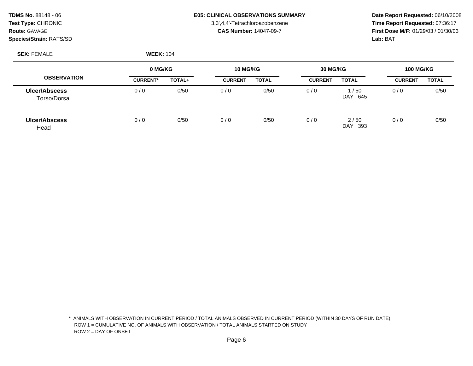# **TDMS No.** 88148 - 06 **E05: CLINICAL OBSERVATIONS SUMMARY Date Report Requested:** 06/10/2008

**Test Type:** CHRONIC 3,3',4,4'-Tetrachloroazobenzene **Time Report Requested:** 07:36:17 **Route:** GAVAGE **CAS Number:** 14047-09-7 **First Dose M/F:** 01/29/03 / 01/30/03

**SEX:** FEMALE **WEEK:** 104

|                               | 0 MG/KG         |        | 10 MG/KG       |              | 30 MG/KG       |                    | <b>100 MG/KG</b> |              |
|-------------------------------|-----------------|--------|----------------|--------------|----------------|--------------------|------------------|--------------|
| <b>OBSERVATION</b>            | <b>CURRENT*</b> | TOTAL+ | <b>CURRENT</b> | <b>TOTAL</b> | <b>CURRENT</b> | <b>TOTAL</b>       | <b>CURRENT</b>   | <b>TOTAL</b> |
| Ulcer/Abscess<br>Torso/Dorsal | 0/0             | 0/50   | 0/0            | 0/50         | 0/0            | 1/50<br>DAY<br>645 | 0/0              | 0/50         |
| Ulcer/Abscess<br>Head         | 0/0             | 0/50   | 0/0            | 0/50         | 0/0            | 2/50<br>DAY<br>393 | 0/0              | 0/50         |

\* ANIMALS WITH OBSERVATION IN CURRENT PERIOD / TOTAL ANIMALS OBSERVED IN CURRENT PERIOD (WITHIN 30 DAYS OF RUN DATE)